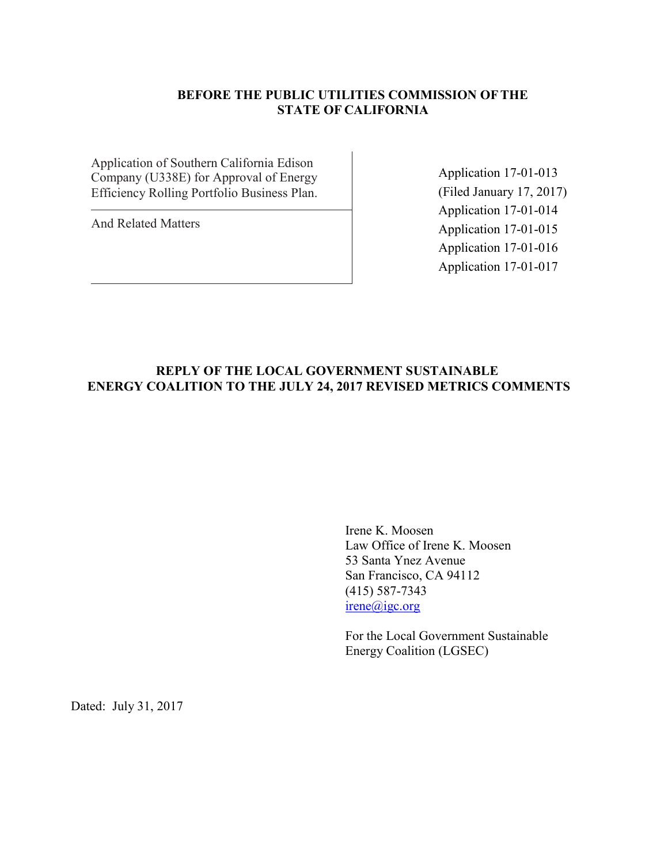# **BEFORE THE PUBLIC UTILITIES COMMISSION OFTHE STATE OF CALIFORNIA**

Application of Southern California Edison Company (U338E) for Approval of Energy Efficiency Rolling Portfolio Business Plan.

And Related Matters

Application 17-01-013 (Filed January 17, 2017) Application 17-01-014 Application 17-01-015 Application 17-01-016 Application 17-01-017

## **REPLY OF THE LOCAL GOVERNMENT SUSTAINABLE ENERGY COALITION TO THE JULY 24, 2017 REVISED METRICS COMMENTS**

Irene K. Moosen Law Office of Irene K. Moosen 53 Santa Ynez Avenue San Francisco, CA 94112 (415) 587-7343 irene@igc.org

For the Local Government Sustainable Energy Coalition (LGSEC)

Dated: July 31, 2017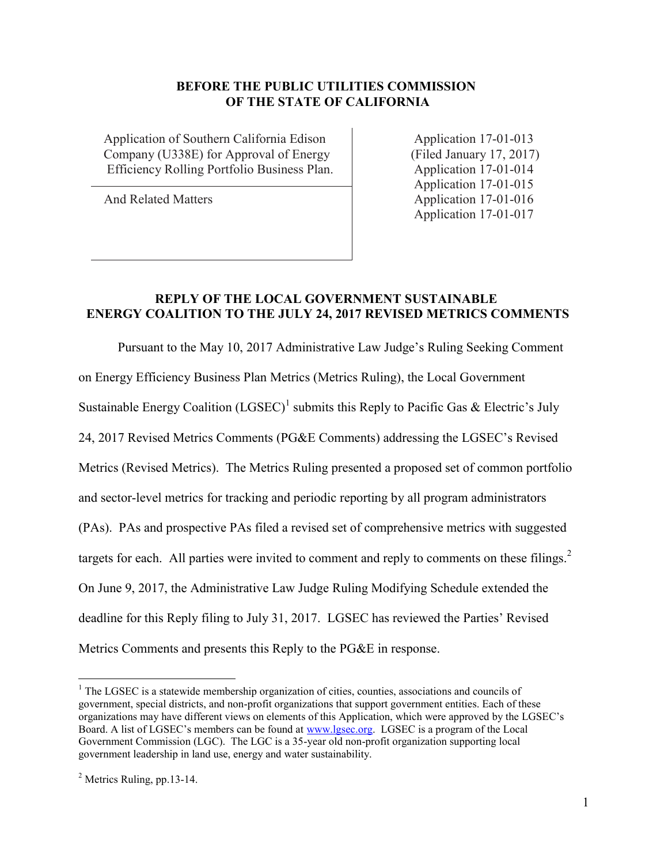## **BEFORE THE PUBLIC UTILITIES COMMISSION OF THE STATE OF CALIFORNIA**

Application of Southern California Edison Application 17-01-013 Company (U338E) for Approval of Energy (Filed January 17, 2017) Efficiency Rolling Portfolio Business Plan. Application 17-01-014

Application 17-01-015 And Related Matters Application 17-01-016 Application 17-01-017

#### **REPLY OF THE LOCAL GOVERNMENT SUSTAINABLE ENERGY COALITION TO THE JULY 24, 2017 REVISED METRICS COMMENTS**

Pursuant to the May 10, 2017 Administrative Law Judge's Ruling Seeking Comment on Energy Efficiency Business Plan Metrics (Metrics Ruling), the Local Government Sustainable Energy Coalition (LGSEC)<sup>1</sup> submits this Reply to Pacific Gas & Electric's July 24, 2017 Revised Metrics Comments (PG&E Comments) addressing the LGSEC's Revised Metrics (Revised Metrics). The Metrics Ruling presented a proposed set of common portfolio and sector-level metrics for tracking and periodic reporting by all program administrators (PAs). PAs and prospective PAs filed a revised set of comprehensive metrics with suggested targets for each. All parties were invited to comment and reply to comments on these filings. $<sup>2</sup>$ </sup> On June 9, 2017, the Administrative Law Judge Ruling Modifying Schedule extended the deadline for this Reply filing to July 31, 2017. LGSEC has reviewed the Parties' Revised Metrics Comments and presents this Reply to the PG&E in response.

 $\overline{a}$ 

 $<sup>1</sup>$  The LGSEC is a statewide membership organization of cities, counties, associations and councils of</sup> government, special districts, and non-profit organizations that support government entities. Each of these organizations may have different views on elements of this Application, which were approved by the LGSEC's Board. A list of LGSEC's members can be found at [www.lgsec.org.](http://www.lgsec.org/) LGSEC is a program of the Local Government Commission (LGC). The LGC is a 35-year old non-profit organization supporting local government leadership in land use, energy and water sustainability.

 $<sup>2</sup>$  Metrics Ruling, pp.13-14.</sup>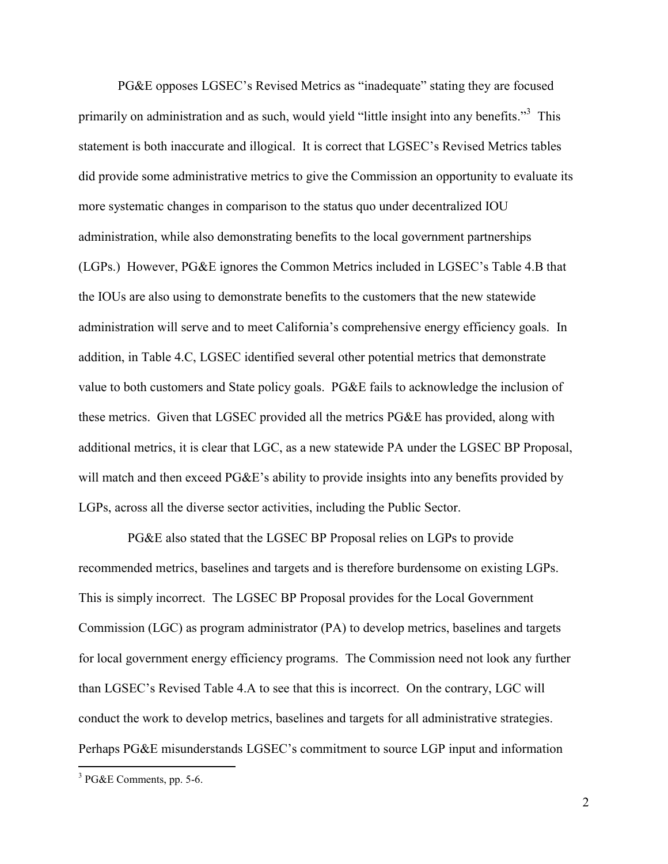PG&E opposes LGSEC's Revised Metrics as "inadequate" stating they are focused primarily on administration and as such, would yield "little insight into any benefits."<sup>3</sup> This statement is both inaccurate and illogical. It is correct that LGSEC's Revised Metrics tables did provide some administrative metrics to give the Commission an opportunity to evaluate its more systematic changes in comparison to the status quo under decentralized IOU administration, while also demonstrating benefits to the local government partnerships (LGPs.) However, PG&E ignores the Common Metrics included in LGSEC's Table 4.B that the IOUs are also using to demonstrate benefits to the customers that the new statewide administration will serve and to meet California's comprehensive energy efficiency goals. In addition, in Table 4.C, LGSEC identified several other potential metrics that demonstrate value to both customers and State policy goals. PG&E fails to acknowledge the inclusion of these metrics. Given that LGSEC provided all the metrics PG&E has provided, along with additional metrics, it is clear that LGC, as a new statewide PA under the LGSEC BP Proposal, will match and then exceed PG&E's ability to provide insights into any benefits provided by LGPs, across all the diverse sector activities, including the Public Sector.

 PG&E also stated that the LGSEC BP Proposal relies on LGPs to provide recommended metrics, baselines and targets and is therefore burdensome on existing LGPs. This is simply incorrect. The LGSEC BP Proposal provides for the Local Government Commission (LGC) as program administrator (PA) to develop metrics, baselines and targets for local government energy efficiency programs. The Commission need not look any further than LGSEC's Revised Table 4.A to see that this is incorrect. On the contrary, LGC will conduct the work to develop metrics, baselines and targets for all administrative strategies. Perhaps PG&E misunderstands LGSEC's commitment to source LGP input and information

 $\overline{a}$ 

 $3$  PG&E Comments, pp. 5-6.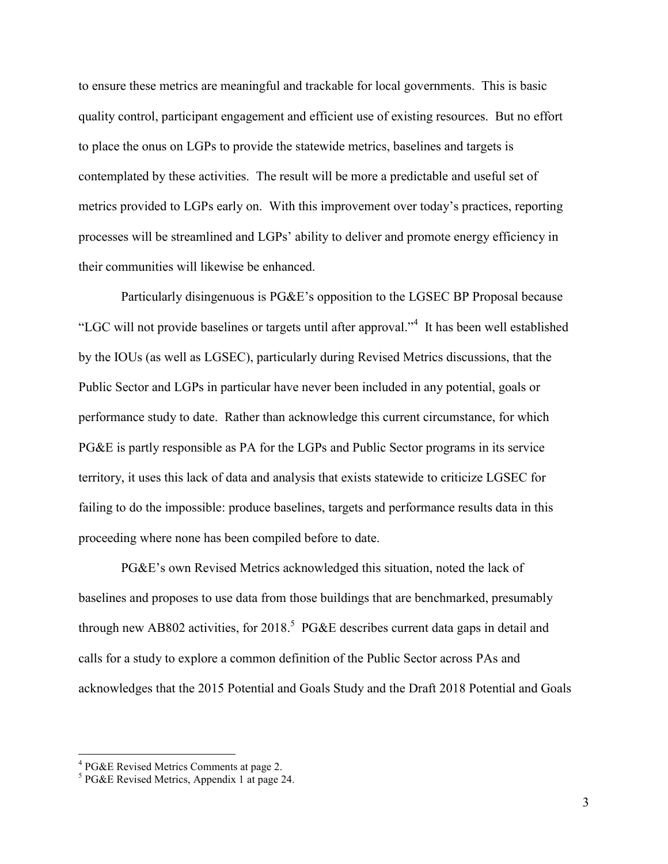to ensure these metrics are meaningful and trackable for local governments. This is basic quality control, participant engagement and efficient use of existing resources. But no effort to place the onus on LGPs to provide the statewide metrics, baselines and targets is contemplated by these activities. The result will be more a predictable and useful set of metrics provided to LGPs early on. With this improvement over today's practices, reporting processes will be streamlined and LGPs' ability to deliver and promote energy efficiency in their communities will likewise be enhanced.

Particularly disingenuous is PG&E's opposition to the LGSEC BP Proposal because "LGC will not provide baselines or targets until after approval."<sup>4</sup> It has been well established by the IOUs (as well as LGSEC), particularly during Revised Metrics discussions, that the Public Sector and LGPs in particular have never been included in any potential, goals or performance study to date. Rather than acknowledge this current circumstance, for which PG&E is partly responsible as PA for the LGPs and Public Sector programs in its service territory, it uses this lack of data and analysis that exists statewide to criticize LGSEC for failing to do the impossible: produce baselines, targets and performance results data in this proceeding where none has been compiled before to date.

PG&E's own Revised Metrics acknowledged this situation, noted the lack of baselines and proposes to use data from those buildings that are benchmarked, presumably through new AB802 activities, for 2018.<sup>5</sup> PG&E describes current data gaps in detail and calls for a study to explore a common definition of the Public Sector across PAs and acknowledges that the 2015 Potential and Goals Study and the Draft 2018 Potential and Goals

 4 PG&E Revised Metrics Comments at page 2.

<sup>5</sup> PG&E Revised Metrics, Appendix 1 at page 24.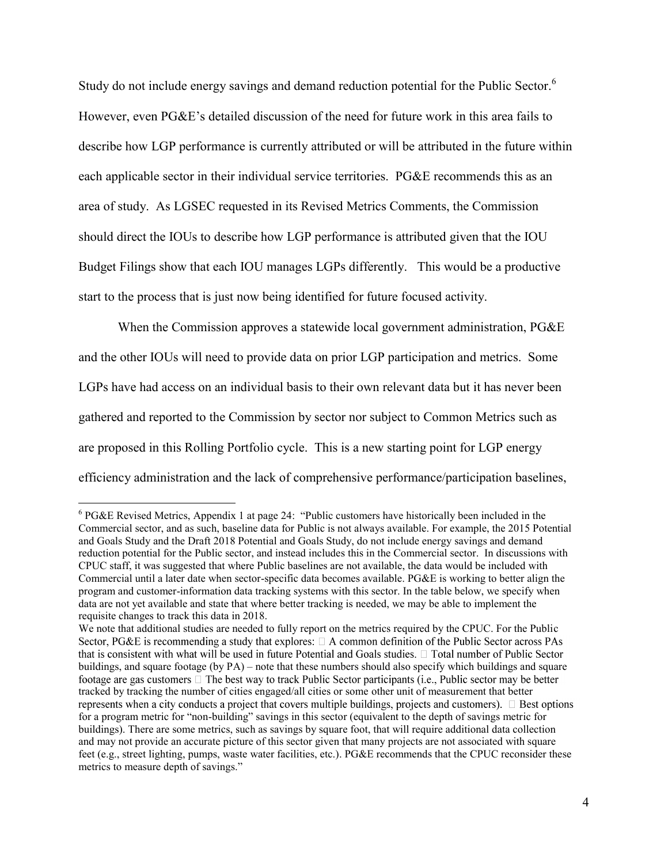Study do not include energy savings and demand reduction potential for the Public Sector.<sup>6</sup> However, even PG&E's detailed discussion of the need for future work in this area fails to describe how LGP performance is currently attributed or will be attributed in the future within each applicable sector in their individual service territories. PG&E recommends this as an area of study. As LGSEC requested in its Revised Metrics Comments, the Commission should direct the IOUs to describe how LGP performance is attributed given that the IOU Budget Filings show that each IOU manages LGPs differently. This would be a productive start to the process that is just now being identified for future focused activity.

When the Commission approves a statewide local government administration, PG&E and the other IOUs will need to provide data on prior LGP participation and metrics. Some LGPs have had access on an individual basis to their own relevant data but it has never been gathered and reported to the Commission by sector nor subject to Common Metrics such as are proposed in this Rolling Portfolio cycle. This is a new starting point for LGP energy efficiency administration and the lack of comprehensive performance/participation baselines,

 $\overline{a}$ 

 $6$  PG&E Revised Metrics, Appendix 1 at page 24: "Public customers have historically been included in the Commercial sector, and as such, baseline data for Public is not always available. For example, the 2015 Potential and Goals Study and the Draft 2018 Potential and Goals Study, do not include energy savings and demand reduction potential for the Public sector, and instead includes this in the Commercial sector. In discussions with CPUC staff, it was suggested that where Public baselines are not available, the data would be included with Commercial until a later date when sector-specific data becomes available. PG&E is working to better align the program and customer-information data tracking systems with this sector. In the table below, we specify when data are not yet available and state that where better tracking is needed, we may be able to implement the requisite changes to track this data in 2018.

We note that additional studies are needed to fully report on the metrics required by the CPUC. For the Public Sector, PG&E is recommending a study that explores:  $\Box$  A common definition of the Public Sector across PAs that is consistent with what will be used in future Potential and Goals studies.  $\Box$  Total number of Public Sector buildings, and square footage (by PA) – note that these numbers should also specify which buildings and square footage are gas customers  $\Box$  The best way to track Public Sector participants (i.e., Public sector may be be tracked by tracking the number of cities engaged/all cities or some other unit of measurement that better represents when a city conducts a project that covers multiple buildings, projects and customers).  $\Box$  Best option for a program metric for "non-building" savings in this sector (equivalent to the depth of savings metric for buildings). There are some metrics, such as savings by square foot, that will require additional data collection and may not provide an accurate picture of this sector given that many projects are not associated with square feet (e.g., street lighting, pumps, waste water facilities, etc.). PG&E recommends that the CPUC reconsider these metrics to measure depth of savings."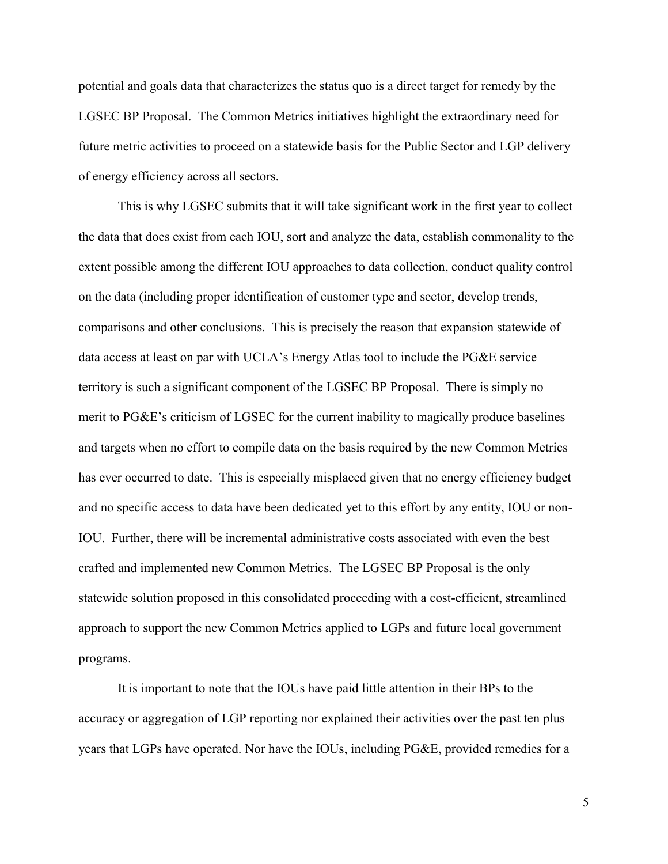potential and goals data that characterizes the status quo is a direct target for remedy by the LGSEC BP Proposal. The Common Metrics initiatives highlight the extraordinary need for future metric activities to proceed on a statewide basis for the Public Sector and LGP delivery of energy efficiency across all sectors.

This is why LGSEC submits that it will take significant work in the first year to collect the data that does exist from each IOU, sort and analyze the data, establish commonality to the extent possible among the different IOU approaches to data collection, conduct quality control on the data (including proper identification of customer type and sector, develop trends, comparisons and other conclusions. This is precisely the reason that expansion statewide of data access at least on par with UCLA's Energy Atlas tool to include the PG&E service territory is such a significant component of the LGSEC BP Proposal. There is simply no merit to PG&E's criticism of LGSEC for the current inability to magically produce baselines and targets when no effort to compile data on the basis required by the new Common Metrics has ever occurred to date. This is especially misplaced given that no energy efficiency budget and no specific access to data have been dedicated yet to this effort by any entity, IOU or non-IOU. Further, there will be incremental administrative costs associated with even the best crafted and implemented new Common Metrics. The LGSEC BP Proposal is the only statewide solution proposed in this consolidated proceeding with a cost-efficient, streamlined approach to support the new Common Metrics applied to LGPs and future local government programs.

It is important to note that the IOUs have paid little attention in their BPs to the accuracy or aggregation of LGP reporting nor explained their activities over the past ten plus years that LGPs have operated. Nor have the IOUs, including PG&E, provided remedies for a

5